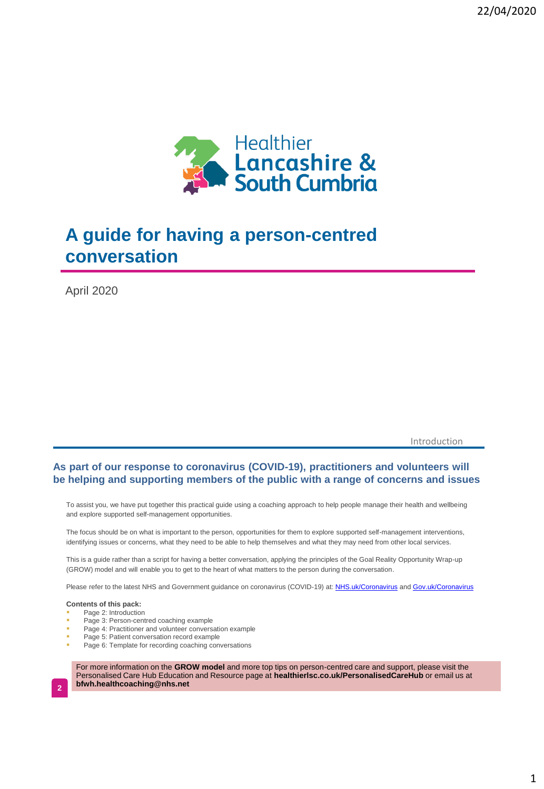

# **A guide for having a person-centred conversation**

April 2020

Introduction

### **As part of our response to coronavirus (COVID-19), practitioners and volunteers will be helping and supporting members of the public with a range of concerns and issues**

To assist you, we have put together this practical guide using a coaching approach to help people manage their health and wellbeing and explore supported self-management opportunities.

The focus should be on what is important to the person, opportunities for them to explore supported self-management interventions, identifying issues or concerns, what they need to be able to help themselves and what they may need from other local services.

This is a guide rather than a script for having a better conversation, applying the principles of the Goal Reality Opportunity Wrap-up (GROW) model and will enable you to get to the heart of what matters to the person during the conversation.

Please refer to the latest NHS and Government guidance on coronavirus (COVID-19) at: [NHS.uk/Coronavirus](https://www.nhs.uk/coronavirus) and [Gov.uk/Coronavirus](https://gov.uk/coronavirus)

### **Contents of this pack:**

- Page 2: Introduction
- Page 3: Person-centred coaching example
- Page 4: Practitioner and volunteer conversation example
- Page 5: Patient conversation record example
- Page 6: Template for recording coaching conversations

For more information on the **GROW model** and more top tips on person-centred care and support, please visit the Personalised Care Hub Education and Resource page at **healthierlsc.co.uk/PersonalisedCareHub** or email us at **bfwh.healthcoaching@nhs.net**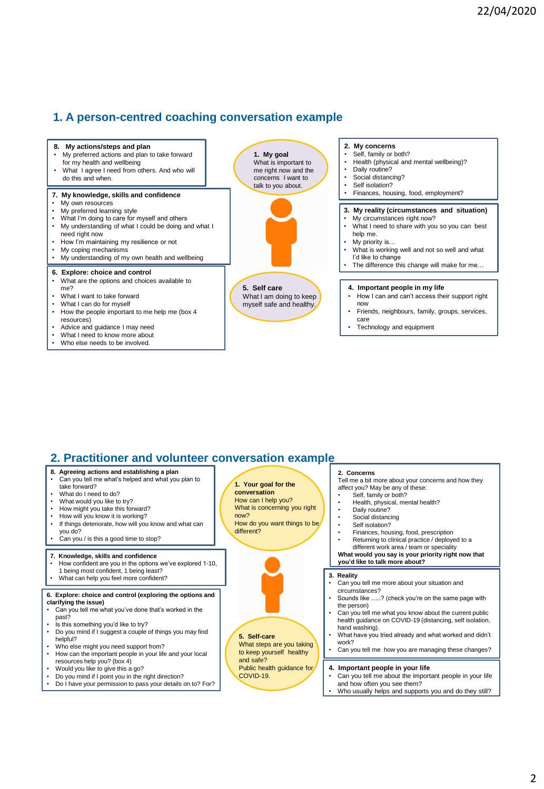# **1. A person-centred coaching conversation example**



## **2. Practitioner and volunteer conversation example**

| 1. Your goal for the<br>conversation<br>How can I help you?<br>What is concerning you right<br>now?<br>How do you want things to be<br>different? | 2. Concerns<br>Tell me a bit more about your concerns and how they<br>affect you? May be any of these:<br>Self, family or both?<br>Health, physical, mental health?<br>Daily routine?<br>Social distancing<br>Self isolation?<br>Finances, housing, food, prescription<br>٠<br>Returning to clinical practice / deployed to a<br>٠<br>different work area / team or speciality |
|---------------------------------------------------------------------------------------------------------------------------------------------------|--------------------------------------------------------------------------------------------------------------------------------------------------------------------------------------------------------------------------------------------------------------------------------------------------------------------------------------------------------------------------------|
| How confident are you in the options we've explored 1-10,                                                                                         | What would you say is your priority right now that<br>you'd like to talk more about?                                                                                                                                                                                                                                                                                           |
|                                                                                                                                                   | 3. Reality<br>Can you tell me more about your situation and<br>circumstances?                                                                                                                                                                                                                                                                                                  |
| 6. Explore: choice and control (exploring the options and                                                                                         | Sounds like ? (check you're on the same page with<br>the person)                                                                                                                                                                                                                                                                                                               |
|                                                                                                                                                   | Can you tell me what you know about the current public<br>health guidance on COVID-19 (distancing, self isolation,<br>hand washing).                                                                                                                                                                                                                                           |
| 5. Self-care<br>What steps are you taking                                                                                                         | What have you tried already and what worked and didn't<br>work?<br>Can you tell me how you are managing these changes?                                                                                                                                                                                                                                                         |
| and safe?                                                                                                                                         |                                                                                                                                                                                                                                                                                                                                                                                |
| Public health guidance for                                                                                                                        | 4. Important people in your life<br>$\bullet$                                                                                                                                                                                                                                                                                                                                  |
| Do I have your permission to pass your details on to? For?                                                                                        | Can you tell me about the important people in your life<br>and how often you see them?<br>. Who usually helps and supports you and do they still?                                                                                                                                                                                                                              |
|                                                                                                                                                   | to keep yourself healthy<br>COVID-19.                                                                                                                                                                                                                                                                                                                                          |

and how often you see them? • Who usually helps and supports you and do they still?

your life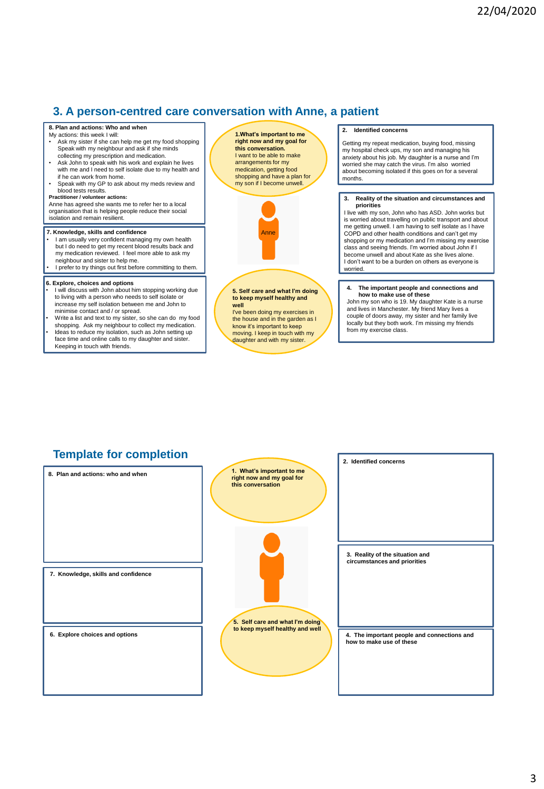# **3. A person-centred care conversation with Anne, a patient**

### **8. Plan and actions: Who and when**

- My actions: this week I will: Ask my sister if she can help me get my food shopping Speak with my neighbour and ask if she minds collecting my prescription and medication.
- Ask John to speak with his work and explain he lives with me and I need to self isolate due to my health and if he can work from home.
- Speak with my GP to ask about my meds review and blood tests results.

### **Practitioner / volunteer actions:**

Anne has agreed she wants me to refer her to a local organisation that is helping people reduce their social isolation and remain resilient.

#### **7. Knowledge, skills and confidence**

- I am usually very confident managing my own health but I do need to get my recent blood results back and my medication reviewed. I feel more able to ask my neighbour and sister to help me.
- I prefer to try things out first before committing to them.

#### **6. Explore, choices and options**

- I will discuss with John about him stopping working due to living with a person who needs to self isolate or increase my self isolation between me and John to minimise contact and / or spread.
- Write a list and text to my sister, so she can do my food
- **5** Keeping in touch with friends. shopping. Ask my neighbour to collect my medication. • Ideas to reduce my isolation, such as John setting up face time and online calls to my daughter and sister.





**5. Self care and what I'm doing to keep myself healthy and well**

I've been doing my exercises in the house and in the garden as I know it's important to keep moving. I keep in touch with my daughter and with my sister.

### **2. Identified concerns**

Getting my repeat medication, buying food, missing my hospital check ups, my son and managing his anxiety about his job. My daughter is a nurse and I'm worried she may catch the virus. I'm also worried about becoming isolated if this goes on for a several months

#### **3. Reality of the situation and circumstances and priorities**

I live with my son, John who has ASD. John works but is worried about travelling on public transport and about me getting unwell. I am having to self isolate as I have COPD and other health conditions and can't get my shopping or my medication and I'm missing my exercise class and seeing friends. I'm worried about John if I become unwell and about Kate as she lives alone. I don't want to be a burden on others as everyone is worried.

#### **4. The important people and connections and how to make use of these**

John my son who is 19. My daughter Kate is a nurse and lives in Manchester. My friend Mary lives a couple of doors away, my sister and her family live locally but they both work. I'm missing my friends from my exercise class.

# **Template for completion**

**1. What's important to me right now and my goal for this conversation 5. Self care and what I'm doing to keep myself healthy and well 2. Identified concerns 3. Reality of the situation and circumstances and priorities 4. The important people and connections and how to make use of these 6. Explore choices and options 8. Plan and actions: who and when 7. Knowledge, skills and confidence**